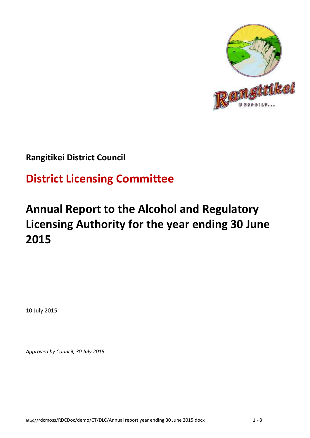

## **Rangitikei District Council**

# **District Licensing Committee**

# **Annual Report to the Alcohol and Regulatory Licensing Authority for the year ending 30 June 2015**

10 July 2015

*Approved by Council, 30 July 2015*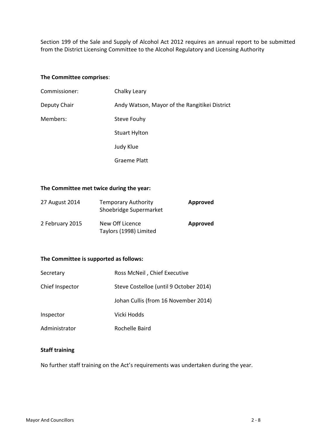Section 199 of the Sale and Supply of Alcohol Act 2012 requires an annual report to be submitted from the District Licensing Committee to the Alcohol Regulatory and Licensing Authority

#### **The Committee comprises**:

| Commissioner: | Chalky Leary                                  |
|---------------|-----------------------------------------------|
| Deputy Chair  | Andy Watson, Mayor of the Rangitikei District |
| Members:      | Steve Fouhy                                   |
|               | <b>Stuart Hylton</b>                          |
|               | Judy Klue                                     |
|               | <b>Graeme Platt</b>                           |

#### **The Committee met twice during the year:**

| 27 August 2014  | <b>Temporary Authority</b><br>Shoebridge Supermarket | <b>Approved</b> |
|-----------------|------------------------------------------------------|-----------------|
| 2 February 2015 | New Off Licence<br>Taylors (1998) Limited            | Approved        |

#### **The Committee is supported as follows:**

| Secretary       | Ross McNeil, Chief Executive           |
|-----------------|----------------------------------------|
| Chief Inspector | Steve Costelloe (until 9 October 2014) |
|                 | Johan Cullis (from 16 November 2014)   |
| Inspector       | Vicki Hodds                            |
| Administrator   | Rochelle Baird                         |

#### **Staff training**

No further staff training on the Act's requirements was undertaken during the year.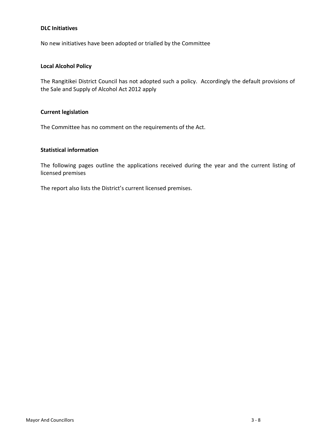#### **DLC Initiatives**

No new initiatives have been adopted or trialled by the Committee

#### **Local Alcohol Policy**

The Rangitikei District Council has not adopted such a policy. Accordingly the default provisions of the Sale and Supply of Alcohol Act 2012 apply

#### **Current legislation**

The Committee has no comment on the requirements of the Act.

#### **Statistical information**

The following pages outline the applications received during the year and the current listing of licensed premises

The report also lists the District's current licensed premises.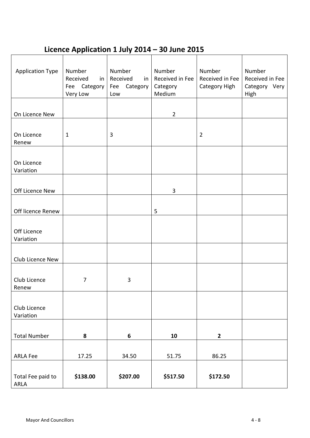## **Licence Application 1 July 2014 – 30 June 2015**

| <b>Application Type</b> | Number                   | Number                 | Number             | Number          | Number                |
|-------------------------|--------------------------|------------------------|--------------------|-----------------|-----------------------|
|                         | Received<br>in           | Received<br>in         | Received in Fee    | Received in Fee | Received in Fee       |
|                         | Fee Category<br>Very Low | Category<br>Fee<br>Low | Category<br>Medium | Category High   | Category Very<br>High |
|                         |                          |                        |                    |                 |                       |
| On Licence New          |                          |                        | $\overline{2}$     |                 |                       |
|                         |                          |                        |                    |                 |                       |
| On Licence              | $\mathbf{1}$             | $\mathbf{3}$           |                    | $\overline{2}$  |                       |
| Renew                   |                          |                        |                    |                 |                       |
|                         |                          |                        |                    |                 |                       |
| On Licence              |                          |                        |                    |                 |                       |
| Variation               |                          |                        |                    |                 |                       |
|                         |                          |                        |                    |                 |                       |
| Off Licence New         |                          |                        | 3                  |                 |                       |
|                         |                          |                        |                    |                 |                       |
| Off licence Renew       |                          |                        | 5                  |                 |                       |
|                         |                          |                        |                    |                 |                       |
| Off Licence             |                          |                        |                    |                 |                       |
| Variation               |                          |                        |                    |                 |                       |
|                         |                          |                        |                    |                 |                       |
| Club Licence New        |                          |                        |                    |                 |                       |
|                         |                          |                        |                    |                 |                       |
| Club Licence<br>Renew   | 7                        | 3                      |                    |                 |                       |
|                         |                          |                        |                    |                 |                       |
| Club Licence            |                          |                        |                    |                 |                       |
| Variation               |                          |                        |                    |                 |                       |
|                         |                          |                        |                    |                 |                       |
| <b>Total Number</b>     | 8                        | $\boldsymbol{6}$       | 10                 | $\mathbf{2}$    |                       |
|                         |                          |                        |                    |                 |                       |
| <b>ARLA Fee</b>         | 17.25                    | 34.50                  | 51.75              | 86.25           |                       |
|                         |                          |                        |                    |                 |                       |
| Total Fee paid to       | \$138.00                 | \$207.00               | \$517.50           | \$172.50        |                       |
| ARLA                    |                          |                        |                    |                 |                       |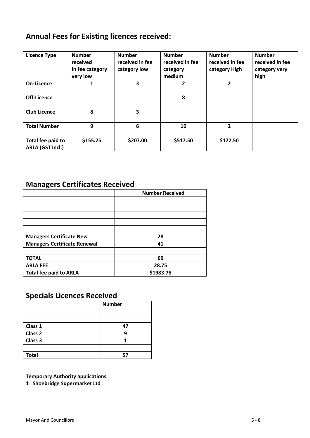### **Annual Fees for Existing licences received:**

| <b>Licence Type</b>                   | <b>Number</b><br>received<br>In fee category<br>very low | <b>Number</b><br>received in fee<br>category low | <b>Number</b><br>received in fee<br>category<br>medium | <b>Number</b><br>received in fee<br>category High | <b>Number</b><br>received in fee<br>category very<br>high |
|---------------------------------------|----------------------------------------------------------|--------------------------------------------------|--------------------------------------------------------|---------------------------------------------------|-----------------------------------------------------------|
| On-Licence                            | 1                                                        | 3                                                | $\overline{2}$                                         | $\mathbf{2}$                                      |                                                           |
| Off-Licence                           |                                                          |                                                  | 8                                                      |                                                   |                                                           |
| <b>Club Licence</b>                   | 8                                                        | 3                                                |                                                        |                                                   |                                                           |
| <b>Total Number</b>                   | 9                                                        | 6                                                | 10                                                     | $\mathbf{2}$                                      |                                                           |
| Total fee paid to<br>ARLA (GST Incl.) | \$155.25                                                 | \$207.00                                         | \$517.50                                               | \$172.50                                          |                                                           |

## **Managers Certificates Received**

|                                     | <b>Number Received</b> |
|-------------------------------------|------------------------|
|                                     |                        |
|                                     |                        |
|                                     |                        |
|                                     |                        |
|                                     |                        |
| <b>Managers Certificate New</b>     | 28                     |
| <b>Managers Certificate Renewal</b> | 41                     |
|                                     |                        |
| <b>TOTAL</b>                        | 69                     |
| <b>ARLA FEE</b>                     | 28.75                  |
| <b>Total fee paid to ARLA</b>       | \$1983.75              |

### **Specials Licences Received**

|                    | <b>Number</b> |
|--------------------|---------------|
|                    |               |
|                    |               |
| Class 1            | 47            |
| Class <sub>2</sub> | q             |
| Class 3            |               |
|                    |               |
| <b>Total</b>       | 57            |

**Temporary Authority applications**

**1 Shoebridge Supermarket Ltd**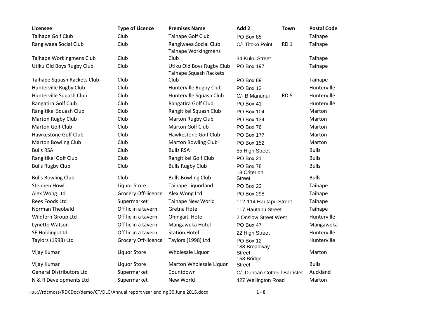| Licensee                        | <b>Type of Licence</b> | <b>Premises Name</b>                                | Add 2<br><b>Town</b>                 | <b>Postal Code</b> |
|---------------------------------|------------------------|-----------------------------------------------------|--------------------------------------|--------------------|
| Taihape Golf Club               | Club                   | Taihape Golf Club                                   | PO Box 85                            | Taihape            |
| Rangiwaea Social Club           | Club                   | Rangiwaea Social Club<br><b>Taihape Workingmens</b> | RD <sub>1</sub><br>C/- Titoko Point, | Taihape            |
| Taihape Workingmens Club        | Club                   | Club                                                | 34 Kuku Street                       | Taihape            |
| Utiku Old Boys Rugby Club       | Club                   | Utiku Old Boys Rugby Club<br>Taihape Squash Rackets | <b>PO Box 197</b>                    | Taihape            |
| Taihape Squash Rackets Club     | Club                   | Club                                                | PO Box 89                            | Taihape            |
| Hunterville Rugby Club          | Club                   | Hunterville Rugby Club                              | PO Box 13                            | Hunterville        |
| Hunterville Squash Club         | Club                   | Hunterville Squash Club                             | RD <sub>5</sub><br>C/- B Manunui     | Hunterville        |
| Rangatira Golf Club             | Club                   | Rangatira Golf Club                                 | PO Box 41                            | Hunterville        |
| Rangitikei Squash Club          | Club                   | Rangitikei Squash Club                              | PO Box 104                           | Marton             |
| <b>Marton Rugby Club</b>        | Club                   | <b>Marton Rugby Club</b>                            | <b>PO Box 134</b>                    | Marton             |
| <b>Marton Golf Club</b>         | Club                   | Marton Golf Club                                    | PO Box 76                            | Marton             |
| Hawkestone Golf Club            | Club                   | Hawkestone Golf Club                                | <b>PO Box 177</b>                    | Marton             |
| <b>Marton Bowling Club</b>      | Club                   | <b>Marton Bowling Club</b>                          | <b>PO Box 152</b>                    | Marton             |
| <b>Bulls RSA</b>                | Club                   | <b>Bulls RSA</b>                                    | 55 High Street                       | <b>Bulls</b>       |
| Rangitikei Golf Club            | Club                   | Rangitikei Golf Club                                | PO Box 21                            | <b>Bulls</b>       |
| <b>Bulls Rugby Club</b>         | Club                   | <b>Bulls Rugby Club</b>                             | PO Box 78<br>18 Criterion            | <b>Bulls</b>       |
| <b>Bulls Bowling Club</b>       | Club                   | <b>Bulls Bowling Club</b>                           | <b>Street</b>                        | <b>Bulls</b>       |
| Stephen Howl                    | <b>Liquor Store</b>    | Taihape Liquorland                                  | PO Box 22                            | Taihape            |
| Alex Wong Ltd                   | Grocery Off-licence    | Alex Wong Ltd                                       | <b>PO Box 298</b>                    | Taihape            |
| Rees Foods Ltd                  | Supermarket            | <b>Taihape New World</b>                            | 112-114 Hautapu Street               | Taihape            |
| Norman Theobald                 | Off lic in a tavern    | Gretna Hotel                                        | 117 Hautapu Street                   | Taihape            |
| Wildfern Group Ltd              | Off lic in a tavern    | Ohingaiti Hotel                                     | 2 Onslow Street West                 | Hunterville        |
| Lynette Watson                  | Off lic in a tavern    | Mangaweka Hotel                                     | PO Box 47                            | Mangaweka          |
| <b>SE Holdings Ltd</b>          | Off lic in a tavern    | <b>Station Hotel</b>                                | 22 High Street                       | Hunterville        |
| Taylors (1998) Ltd              | Grocery Off-licence    | Taylors (1998) Ltd                                  | PO Box 12<br>188 Broadway            | Hunterville        |
| Vijay Kumar                     | <b>Liquor Store</b>    | Wholesale Liquor                                    | <b>Street</b><br>158 Bridge          | Marton             |
| Vijay Kumar                     | <b>Liquor Store</b>    | Marton Wholesale Liquor                             | <b>Street</b>                        | <b>Bulls</b>       |
| <b>General Distributors Ltd</b> | Supermarket            | Countdown                                           | C/- Duncan Cotterill Barrister       | Auckland           |
| N & R Developments Ltd          | Supermarket            | New World                                           | 427 Wellington Road                  | Marton             |

http://rdcmoss/RDCDoc/demo/CT/DLC/Annual report year ending 30 June 2015.docx 1 - 8